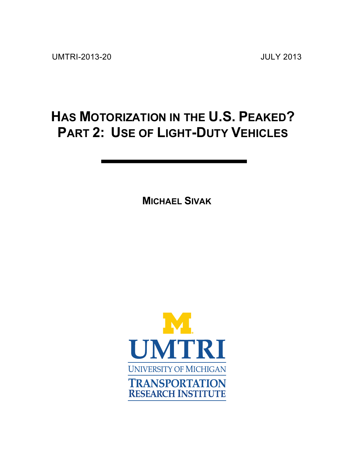# **HAS MOTORIZATION IN THE U.S. PEAKED? PART 2: USE OF LIGHT-DUTY VEHICLES**

**MICHAEL SIVAK**

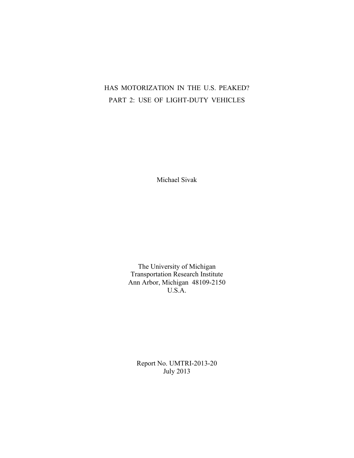# HAS MOTORIZATION IN THE U.S. PEAKED? PART 2: USE OF LIGHT-DUTY VEHICLES

Michael Sivak

The University of Michigan Transportation Research Institute Ann Arbor, Michigan 48109-2150 U.S.A.

Report No. UMTRI-2013-20 July 2013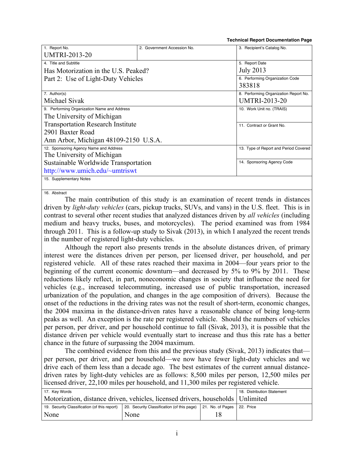| 1. Report No.                               | 2. Government Accession No. | 3. Recipient's Catalog No.            |  |
|---------------------------------------------|-----------------------------|---------------------------------------|--|
| <b>UMTRI-2013-20</b>                        |                             |                                       |  |
| 4. Title and Subtitle                       |                             | 5. Report Date                        |  |
| Has Motorization in the U.S. Peaked?        |                             | <b>July 2013</b>                      |  |
| Part 2: Use of Light-Duty Vehicles          |                             | 6. Performing Organization Code       |  |
|                                             |                             | 383818                                |  |
| 7. Author(s)                                |                             | 8. Performing Organization Report No. |  |
| Michael Sivak                               |                             | <b>UMTRI-2013-20</b>                  |  |
| 9. Performing Organization Name and Address |                             | 10. Work Unit no. (TRAIS)             |  |
| The University of Michigan                  |                             |                                       |  |
| <b>Transportation Research Institute</b>    |                             | 11. Contract or Grant No.             |  |
| 2901 Baxter Road                            |                             |                                       |  |
| Ann Arbor, Michigan 48109-2150 U.S.A.       |                             |                                       |  |
| 12. Sponsoring Agency Name and Address      |                             | 13. Type of Report and Period Covered |  |
| The University of Michigan                  |                             |                                       |  |
| Sustainable Worldwide Transportation        |                             | 14. Sponsoring Agency Code            |  |
| http://www.umich.edu/~umtriswt              |                             |                                       |  |
| 15. Supplementary Notes                     |                             |                                       |  |
|                                             |                             |                                       |  |

 **Technical Report Documentation Page**

16. Abstract

The main contribution of this study is an examination of recent trends in distances driven by *light-duty vehicles* (cars, pickup trucks, SUVs, and vans) in the U.S. fleet. This is in contrast to several other recent studies that analyzed distances driven by *all vehicles* (including medium and heavy trucks, buses, and motorcycles). The period examined was from 1984 through 2011. This is a follow-up study to Sivak (2013), in which I analyzed the recent trends in the number of registered light-duty vehicles.

Although the report also presents trends in the absolute distances driven, of primary interest were the distances driven per person, per licensed driver, per household, and per registered vehicle. All of these rates reached their maxima in 2004—four years prior to the beginning of the current economic downturn—and decreased by 5% to 9% by 2011. These reductions likely reflect, in part, noneconomic changes in society that influence the need for vehicles (e.g., increased telecommuting, increased use of public transportation, increased urbanization of the population, and changes in the age composition of drivers). Because the onset of the reductions in the driving rates was not the result of short-term, economic changes, the 2004 maxima in the distance-driven rates have a reasonable chance of being long-term peaks as well. An exception is the rate per registered vehicle. Should the numbers of vehicles per person, per driver, and per household continue to fall (Sivak, 2013), it is possible that the distance driven per vehicle would eventually start to increase and thus this rate has a better chance in the future of surpassing the 2004 maximum.

The combined evidence from this and the previous study (Sivak, 2013) indicates that per person, per driver, and per household—we now have fewer light-duty vehicles and we drive each of them less than a decade ago. The best estimates of the current annual distancedriven rates by light-duty vehicles are as follows: 8,500 miles per person, 12,500 miles per licensed driver, 22,100 miles per household, and 11,300 miles per registered vehicle.

| 17. Key Words                                                                     |                                            |                              | 18. Distribution Statement |
|-----------------------------------------------------------------------------------|--------------------------------------------|------------------------------|----------------------------|
| Motorization, distance driven, vehicles, licensed drivers, households   Unlimited |                                            |                              |                            |
| 19. Security Classification (of this report)                                      | 20. Security Classification (of this page) | 21. No. of Pages   22. Price |                            |
| None                                                                              | None                                       |                              |                            |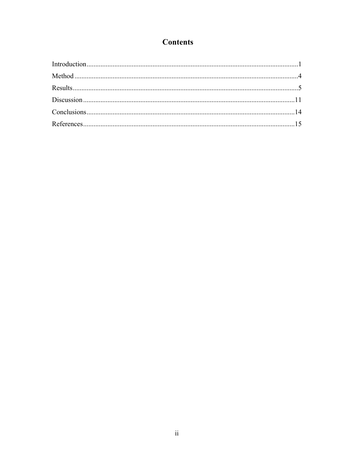# **Contents**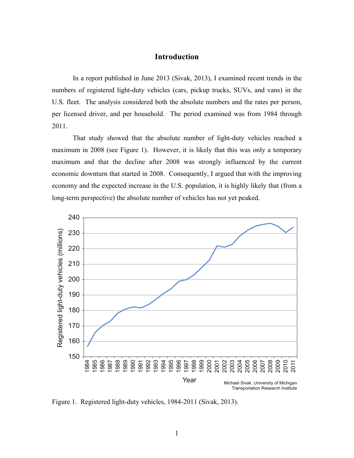# **Introduction**

In a report published in June 2013 (Sivak, 2013), I examined recent trends in the numbers of registered light-duty vehicles (cars, pickup trucks, SUVs, and vans) in the U.S. fleet. The analysis considered both the absolute numbers and the rates per person, per licensed driver, and per household. The period examined was from 1984 through 2011.

That study showed that the absolute number of light-duty vehicles reached a maximum in 2008 (see Figure 1). However, it is likely that this was only a temporary maximum and that the decline after 2008 was strongly influenced by the current economic downturn that started in 2008. Consequently, I argued that with the improving economy and the expected increase in the U.S. population, it is highly likely that (from a long-term perspective) the absolute number of vehicles has not yet peaked.



Figure 1. Registered light-duty vehicles, 1984-2011 (Sivak, 2013).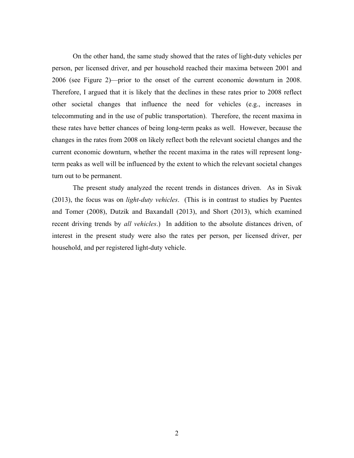On the other hand, the same study showed that the rates of light-duty vehicles per person, per licensed driver, and per household reached their maxima between 2001 and 2006 (see Figure 2)—prior to the onset of the current economic downturn in 2008. Therefore, I argued that it is likely that the declines in these rates prior to 2008 reflect other societal changes that influence the need for vehicles (e.g., increases in telecommuting and in the use of public transportation). Therefore, the recent maxima in these rates have better chances of being long-term peaks as well. However, because the changes in the rates from 2008 on likely reflect both the relevant societal changes and the current economic downturn, whether the recent maxima in the rates will represent longterm peaks as well will be influenced by the extent to which the relevant societal changes turn out to be permanent.

The present study analyzed the recent trends in distances driven. As in Sivak (2013), the focus was on *light-duty vehicles*. (This is in contrast to studies by Puentes and Tomer (2008), Dutzik and Baxandall (2013), and Short (2013), which examined recent driving trends by *all vehicles*.) In addition to the absolute distances driven, of interest in the present study were also the rates per person, per licensed driver, per household, and per registered light-duty vehicle.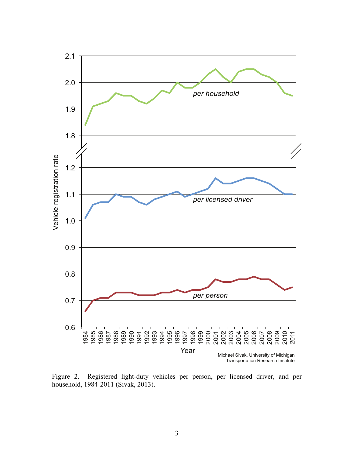

Figure 2. Registered light-duty vehicles per person, per licensed driver, and per household, 1984-2011 (Sivak, 2013).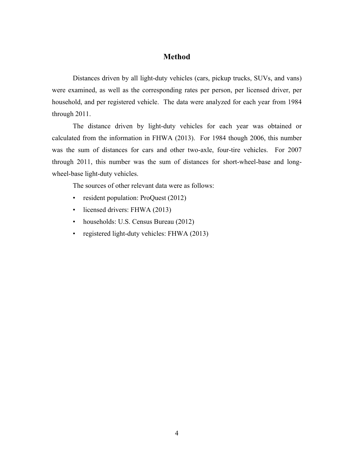# **Method**

Distances driven by all light-duty vehicles (cars, pickup trucks, SUVs, and vans) were examined, as well as the corresponding rates per person, per licensed driver, per household, and per registered vehicle. The data were analyzed for each year from 1984 through 2011.

The distance driven by light-duty vehicles for each year was obtained or calculated from the information in FHWA (2013). For 1984 though 2006, this number was the sum of distances for cars and other two-axle, four-tire vehicles. For 2007 through 2011, this number was the sum of distances for short-wheel-base and longwheel-base light-duty vehicles.

The sources of other relevant data were as follows:

- resident population: ProQuest (2012)
- licensed drivers: FHWA (2013)
- households: U.S. Census Bureau (2012)
- registered light-duty vehicles: FHWA (2013)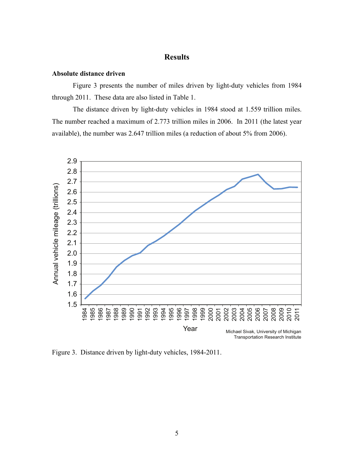# **Results**

## **Absolute distance driven**

Figure 3 presents the number of miles driven by light-duty vehicles from 1984 through 2011. These data are also listed in Table 1.

The distance driven by light-duty vehicles in 1984 stood at 1.559 trillion miles. The number reached a maximum of 2.773 trillion miles in 2006. In 2011 (the latest year available), the number was 2.647 trillion miles (a reduction of about 5% from 2006).



Figure 3. Distance driven by light-duty vehicles, 1984-2011.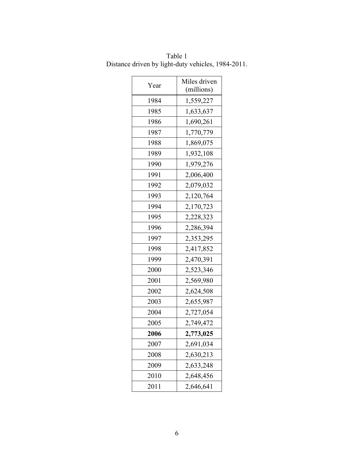| Year | Miles driven<br>(millions) |  |
|------|----------------------------|--|
| 1984 | 1,559,227                  |  |
| 1985 | 1,633,637                  |  |
| 1986 | 1,690,261                  |  |
| 1987 | 1,770,779                  |  |
| 1988 | 1,869,075                  |  |
| 1989 | 1,932,108                  |  |
| 1990 | 1,979,276                  |  |
| 1991 | 2,006,400                  |  |
| 1992 | 2,079,032                  |  |
| 1993 | 2,120,764                  |  |
| 1994 | 2,170,723                  |  |
| 1995 | 2,228,323                  |  |
| 1996 | 2,286,394                  |  |
| 1997 | 2,353,295                  |  |
| 1998 | 2,417,852                  |  |
| 1999 | 2,470,391                  |  |
| 2000 | 2,523,346                  |  |
| 2001 | 2,569,980                  |  |
| 2002 | 2,624,508                  |  |
| 2003 | 2,655,987                  |  |
| 2004 | 2,727,054                  |  |
| 2005 | 2,749,472                  |  |
| 2006 | 2,773,025                  |  |
| 2007 | 2,691,034                  |  |
| 2008 | 2,630,213                  |  |
| 2009 | 2,633,248                  |  |
| 2010 | 2,648,456                  |  |
| 2011 | 2,646,641                  |  |

Table 1 Distance driven by light-duty vehicles, 1984-2011.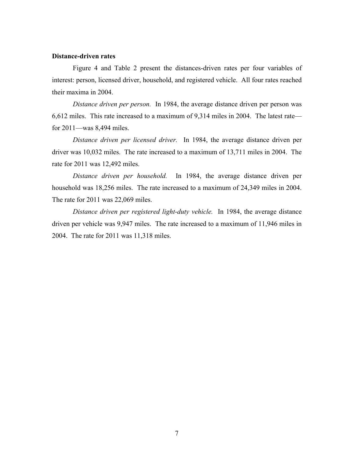# **Distance-driven rates**

Figure 4 and Table 2 present the distances-driven rates per four variables of interest: person, licensed driver, household, and registered vehicle. All four rates reached their maxima in 2004.

*Distance driven per person.* In 1984, the average distance driven per person was 6,612 miles. This rate increased to a maximum of 9,314 miles in 2004. The latest rate for 2011—was 8,494 miles.

*Distance driven per licensed driver.* In 1984, the average distance driven per driver was 10,032 miles. The rate increased to a maximum of 13,711 miles in 2004. The rate for 2011 was 12,492 miles.

*Distance driven per household.* In 1984, the average distance driven per household was 18,256 miles. The rate increased to a maximum of 24,349 miles in 2004. The rate for 2011 was 22,069 miles.

*Distance driven per registered light-duty vehicle.* In 1984, the average distance driven per vehicle was 9,947 miles. The rate increased to a maximum of 11,946 miles in 2004. The rate for 2011 was 11,318 miles.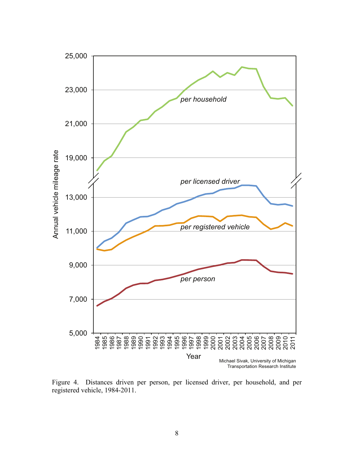

Figure 4. Distances driven per person, per licensed driver, per household, and per registered vehicle, 1984-2011.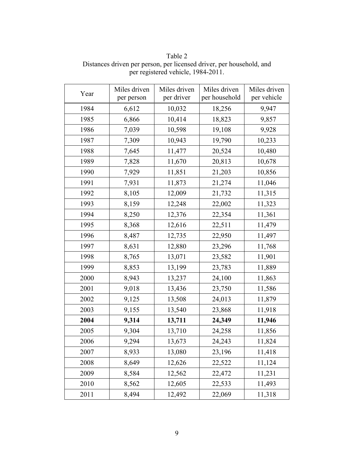| Year | Miles driven | Miles driven | Miles driven  | Miles driven |
|------|--------------|--------------|---------------|--------------|
|      | per person   | per driver   | per household | per vehicle  |
| 1984 | 6,612        | 10,032       | 18,256        | 9,947        |
| 1985 | 6,866        | 10,414       | 18,823        | 9,857        |
| 1986 | 7,039        | 10,598       | 19,108        | 9,928        |
| 1987 | 7,309        | 10,943       | 19,790        | 10,233       |
| 1988 | 7,645        | 11,477       | 20,524        | 10,480       |
| 1989 | 7,828        | 11,670       | 20,813        | 10,678       |
| 1990 | 7,929        | 11,851       | 21,203        | 10,856       |
| 1991 | 7,931        | 11,873       | 21,274        | 11,046       |
| 1992 | 8,105        | 12,009       | 21,732        | 11,315       |
| 1993 | 8,159        | 12,248       | 22,002        | 11,323       |
| 1994 | 8,250        | 12,376       | 22,354        | 11,361       |
| 1995 | 8,368        | 12,616       | 22,511        | 11,479       |
| 1996 | 8,487        | 12,735       | 22,950        | 11,497       |
| 1997 | 8,631        | 12,880       | 23,296        | 11,768       |
| 1998 | 8,765        | 13,071       | 23,582        | 11,901       |
| 1999 | 8,853        | 13,199       | 23,783        | 11,889       |
| 2000 | 8,943        | 13,237       | 24,100        | 11,863       |
| 2001 | 9,018        | 13,436       | 23,750        | 11,586       |
| 2002 | 9,125        | 13,508       | 24,013        | 11,879       |
| 2003 | 9,155        | 13,540       | 23,868        | 11,918       |
| 2004 | 9,314        | 13,711       | 24,349        | 11,946       |
| 2005 | 9,304        | 13,710       | 24,258        | 11,856       |
| 2006 | 9,294        | 13,673       | 24,243        | 11,824       |
| 2007 | 8,933        | 13,080       | 23,196        | 11,418       |
| 2008 | 8,649        | 12,626       | 22,522        | 11,124       |
| 2009 | 8,584        | 12,562       | 22,472        | 11,231       |
| 2010 | 8,562        | 12,605       | 22,533        | 11,493       |
| 2011 | 8,494        | 12,492       | 22,069        | 11,318       |

Table 2 Distances driven per person, per licensed driver, per household, and per registered vehicle, 1984-2011.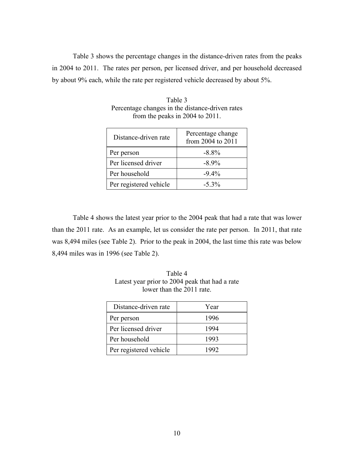Table 3 shows the percentage changes in the distance-driven rates from the peaks in 2004 to 2011. The rates per person, per licensed driver, and per household decreased by about 9% each, while the rate per registered vehicle decreased by about 5%.

| Distance-driven rate   | Percentage change<br>from 2004 to 2011 |
|------------------------|----------------------------------------|
| Per person             | $-8.8\%$                               |
| Per licensed driver    | $-8.9\%$                               |
| Per household          | $-9.4\%$                               |
| Per registered vehicle | $-5.3\%$                               |

Table 3 Percentage changes in the distance-driven rates from the peaks in 2004 to 2011.

Table 4 shows the latest year prior to the 2004 peak that had a rate that was lower than the 2011 rate. As an example, let us consider the rate per person. In 2011, that rate was 8,494 miles (see Table 2). Prior to the peak in 2004, the last time this rate was below 8,494 miles was in 1996 (see Table 2).

| Distance-driven rate   | Year |
|------------------------|------|
| Per person             | 1996 |
| Per licensed driver    | 1994 |
| Per household          | 1993 |
| Per registered vehicle | 992  |

Table 4 Latest year prior to 2004 peak that had a rate lower than the 2011 rate.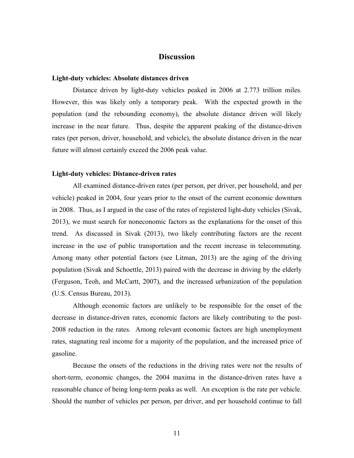# **Discussion**

#### **Light-duty vehicles: Absolute distances driven**

Distance driven by light-duty vehicles peaked in 2006 at 2.773 trillion miles. However, this was likely only a temporary peak. With the expected growth in the population (and the rebounding economy), the absolute distance driven will likely increase in the near future. Thus, despite the apparent peaking of the distance-driven rates (per person, driver, household, and vehicle), the absolute distance driven in the near future will almost certainly exceed the 2006 peak value.

#### **Light-duty vehicles: Distance-driven rates**

All examined distance-driven rates (per person, per driver, per household, and per vehicle) peaked in 2004, four years prior to the onset of the current economic downturn in 2008. Thus, as I argued in the case of the rates of registered light-duty vehicles (Sivak, 2013), we must search for noneconomic factors as the explanations for the onset of this trend. As discussed in Sivak (2013), two likely contributing factors are the recent increase in the use of public transportation and the recent increase in telecommuting. Among many other potential factors (see Litman, 2013) are the aging of the driving population (Sivak and Schoettle, 2013) paired with the decrease in driving by the elderly (Ferguson, Teoh, and McCartt, 2007), and the increased urbanization of the population (U.S. Census Bureau, 2013).

Although economic factors are unlikely to be responsible for the onset of the decrease in distance-driven rates, economic factors are likely contributing to the post-2008 reduction in the rates. Among relevant economic factors are high unemployment rates, stagnating real income for a majority of the population, and the increased price of gasoline.

Because the onsets of the reductions in the driving rates were not the results of short-term, economic changes, the 2004 maxima in the distance-driven rates have a reasonable chance of being long-term peaks as well. An exception is the rate per vehicle. Should the number of vehicles per person, per driver, and per household continue to fall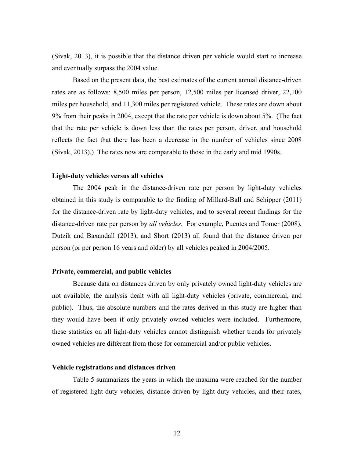(Sivak, 2013), it is possible that the distance driven per vehicle would start to increase and eventually surpass the 2004 value.

Based on the present data, the best estimates of the current annual distance-driven rates are as follows: 8,500 miles per person, 12,500 miles per licensed driver, 22,100 miles per household, and 11,300 miles per registered vehicle. These rates are down about 9% from their peaks in 2004, except that the rate per vehicle is down about 5%. (The fact that the rate per vehicle is down less than the rates per person, driver, and household reflects the fact that there has been a decrease in the number of vehicles since 2008 (Sivak, 2013).) The rates now are comparable to those in the early and mid 1990s.

### **Light-duty vehicles versus all vehicles**

The 2004 peak in the distance-driven rate per person by light-duty vehicles obtained in this study is comparable to the finding of Millard-Ball and Schipper (2011) for the distance-driven rate by light-duty vehicles, and to several recent findings for the distance-driven rate per person by *all vehicles*. For example, Puentes and Tomer (2008), Dutzik and Baxandall (2013), and Short (2013) all found that the distance driven per person (or per person 16 years and older) by all vehicles peaked in 2004/2005.

#### **Private, commercial, and public vehicles**

Because data on distances driven by only privately owned light-duty vehicles are not available, the analysis dealt with all light-duty vehicles (private, commercial, and public). Thus, the absolute numbers and the rates derived in this study are higher than they would have been if only privately owned vehicles were included. Furthermore, these statistics on all light-duty vehicles cannot distinguish whether trends for privately owned vehicles are different from those for commercial and/or public vehicles.

### **Vehicle registrations and distances driven**

Table 5 summarizes the years in which the maxima were reached for the number of registered light-duty vehicles, distance driven by light-duty vehicles, and their rates,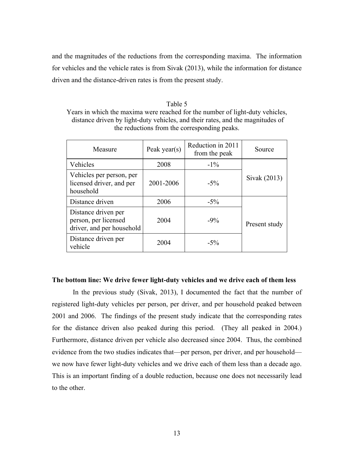and the magnitudes of the reductions from the corresponding maxima. The information for vehicles and the vehicle rates is from Sivak (2013), while the information for distance driven and the distance-driven rates is from the present study.

Table 5 Years in which the maxima were reached for the number of light-duty vehicles, distance driven by light-duty vehicles, and their rates, and the magnitudes of the reductions from the corresponding peaks.

| Measure                                                                  | Peak year(s) | Reduction in 2011<br>from the peak | Source        |
|--------------------------------------------------------------------------|--------------|------------------------------------|---------------|
| Vehicles                                                                 | 2008         | $-1\%$                             |               |
| Vehicles per person, per<br>licensed driver, and per<br>household        | 2001-2006    | $-5\%$                             | Sivak (2013)  |
| Distance driven                                                          | 2006         | $-5\%$                             |               |
| Distance driven per<br>person, per licensed<br>driver, and per household | 2004         | $-9\%$                             | Present study |
| Distance driven per<br>vehicle                                           | 2004         | $-5\%$                             |               |

## **The bottom line: We drive fewer light-duty vehicles and we drive each of them less**

In the previous study (Sivak, 2013), I documented the fact that the number of registered light-duty vehicles per person, per driver, and per household peaked between 2001 and 2006. The findings of the present study indicate that the corresponding rates for the distance driven also peaked during this period. (They all peaked in 2004.) Furthermore, distance driven per vehicle also decreased since 2004. Thus, the combined evidence from the two studies indicates that—per person, per driver, and per household we now have fewer light-duty vehicles and we drive each of them less than a decade ago. This is an important finding of a double reduction, because one does not necessarily lead to the other.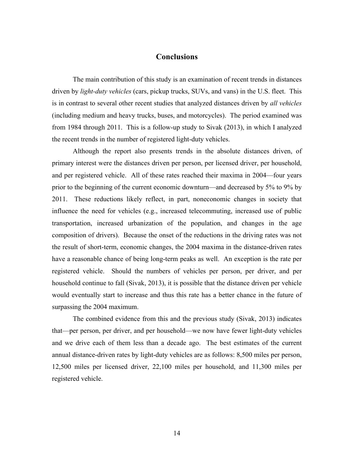# **Conclusions**

The main contribution of this study is an examination of recent trends in distances driven by *light-duty vehicles* (cars, pickup trucks, SUVs, and vans) in the U.S. fleet. This is in contrast to several other recent studies that analyzed distances driven by *all vehicles* (including medium and heavy trucks, buses, and motorcycles). The period examined was from 1984 through 2011. This is a follow-up study to Sivak (2013), in which I analyzed the recent trends in the number of registered light-duty vehicles.

Although the report also presents trends in the absolute distances driven, of primary interest were the distances driven per person, per licensed driver, per household, and per registered vehicle. All of these rates reached their maxima in 2004—four years prior to the beginning of the current economic downturn—and decreased by 5% to 9% by 2011. These reductions likely reflect, in part, noneconomic changes in society that influence the need for vehicles (e.g., increased telecommuting, increased use of public transportation, increased urbanization of the population, and changes in the age composition of drivers). Because the onset of the reductions in the driving rates was not the result of short-term, economic changes, the 2004 maxima in the distance-driven rates have a reasonable chance of being long-term peaks as well. An exception is the rate per registered vehicle. Should the numbers of vehicles per person, per driver, and per household continue to fall (Sivak, 2013), it is possible that the distance driven per vehicle would eventually start to increase and thus this rate has a better chance in the future of surpassing the 2004 maximum.

The combined evidence from this and the previous study (Sivak, 2013) indicates that—per person, per driver, and per household—we now have fewer light-duty vehicles and we drive each of them less than a decade ago. The best estimates of the current annual distance-driven rates by light-duty vehicles are as follows: 8,500 miles per person, 12,500 miles per licensed driver, 22,100 miles per household, and 11,300 miles per registered vehicle.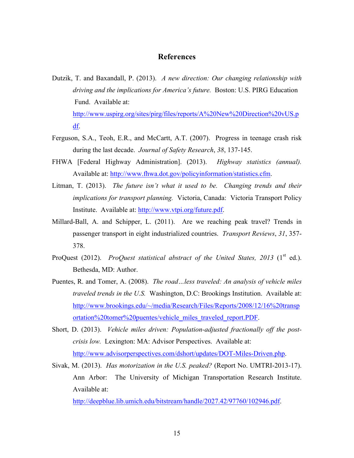# **References**

- Dutzik, T. and Baxandall, P. (2013). *A new direction: Our changing relationship with driving and the implications for America's future.* Boston: U.S. PIRG Education Fund. Available at: http://www.uspirg.org/sites/pirg/files/reports/A%20New%20Direction%20vUS.p df.
- Ferguson, S.A., Teoh, E.R., and McCartt, A.T. (2007). Progress in teenage crash risk during the last decade. *Journal of Safety Research*, *38*, 137-145.
- FHWA [Federal Highway Administration]. (2013). *Highway statistics (annual).* Available at: http://www.fhwa.dot.gov/policyinformation/statistics.cfm.
- Litman, T. (2013). *The future isn't what it used to be. Changing trends and their implications for transport planning.* Victoria, Canada: Victoria Transport Policy Institute. Available at: http://www.vtpi.org/future.pdf.
- Millard-Ball, A. and Schipper, L. (2011). Are we reaching peak travel? Trends in passenger transport in eight industrialized countries. *Transport Reviews*, *31*, 357- 378.
- ProQuest (2012). *ProQuest statistical abstract of the United States, 2013* (1<sup>st</sup> ed.). Bethesda, MD: Author.
- Puentes, R. and Tomer, A. (2008). *The road…less traveled: An analysis of vehicle miles traveled trends in the U.S.* Washington, D.C: Brookings Institution. Available at: http://www.brookings.edu/~/media/Research/Files/Reports/2008/12/16%20transp ortation%20tomer%20puentes/vehicle\_miles\_traveled\_report.PDF.
- Short, D. (2013). *Vehicle miles driven: Population-adjusted fractionally off the postcrisis low.* Lexington: MA: Advisor Perspectives. Available at: http://www.advisorperspectives.com/dshort/updates/DOT-Miles-Driven.php.
- Sivak, M. (2013). *Has motorization in the U.S. peaked?* (Report No. UMTRI-2013-17). Ann Arbor: The University of Michigan Transportation Research Institute. Available at:

http://deepblue.lib.umich.edu/bitstream/handle/2027.42/97760/102946.pdf.